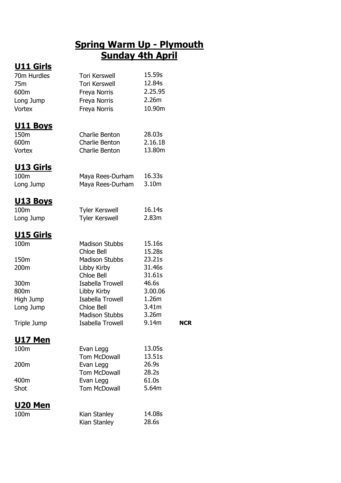## **Spring Warm Up - Plymouth Sunday 4th April**

### **U11 Girls**

| 70m Hurdles        | <b>Tori Kerswell</b>         | 15.59s            |            |
|--------------------|------------------------------|-------------------|------------|
| 75m                | <b>Tori Kerswell</b>         | 12.84s            |            |
| 600m               | Freya Norris                 | 2.25.95           |            |
| Long Jump          | Freya Norris                 | 2.26m             |            |
| <b>Vortex</b>      | Freya Norris                 | 10.90m            |            |
| <u>U11 Boys</u>    |                              |                   |            |
| 150 <sub>m</sub>   | Charlie Benton               | 28.03s            |            |
| 600m               | Charlie Benton               | 2.16.18           |            |
| Vortex             | Charlie Benton               | 13.80m            |            |
| <b>U13 Girls</b>   |                              |                   |            |
| 100m               | Maya Rees-Durham             | 16.33s            |            |
| Long Jump          | Maya Rees-Durham             | 3.10 <sub>m</sub> |            |
| <u> U13 Boys</u>   |                              |                   |            |
| 100m               | <b>Tyler Kerswell</b>        | 16.14s            |            |
| Long Jump          | <b>Tyler Kerswell</b>        | 2.83m             |            |
| <u>U15 Girls</u>   |                              |                   |            |
| 100m               | <b>Madison Stubbs</b>        | 15.16s            |            |
|                    | Chloe Bell                   | 15.28s            |            |
| 150m               | Madison Stubbs               | 23.21s            |            |
| 200m               | Libby Kirby                  | 31.46s            |            |
|                    | <b>Chloe Bell</b>            | 31.61s            |            |
| 300m               | Isabella Trowell             | 46.6s             |            |
| 800m               | Libby Kirby                  | 3.00.06           |            |
| High Jump          | Isabella Trowell             | 1.26m             |            |
| Long Jump          | Chloe Bell                   | 3.41 <sub>m</sub> |            |
|                    | <b>Madison Stubbs</b>        | 3.26m             |            |
| <b>Triple Jump</b> | Isabella Trowell             | 9.14m             | <b>NCR</b> |
| <b>U17 Men</b>     |                              |                   |            |
| 100m               | Evan Legg                    | 13.05s            |            |
|                    | <b>Tom McDowall</b>          | 13.51s            |            |
| 200m               | Evan Legg                    | 26.9s             |            |
|                    | <b>Tom McDowall</b>          | 28.2s<br>61.0s    |            |
| 400m               | Evan Legg                    | 5.64m             |            |
| Shot               | <b>Tom McDowall</b>          |                   |            |
| <u> U20 Men</u>    |                              |                   |            |
| 100m               | Kian Stanley<br>Kian Stanley | 14.08s<br>28.6s   |            |
|                    |                              |                   |            |